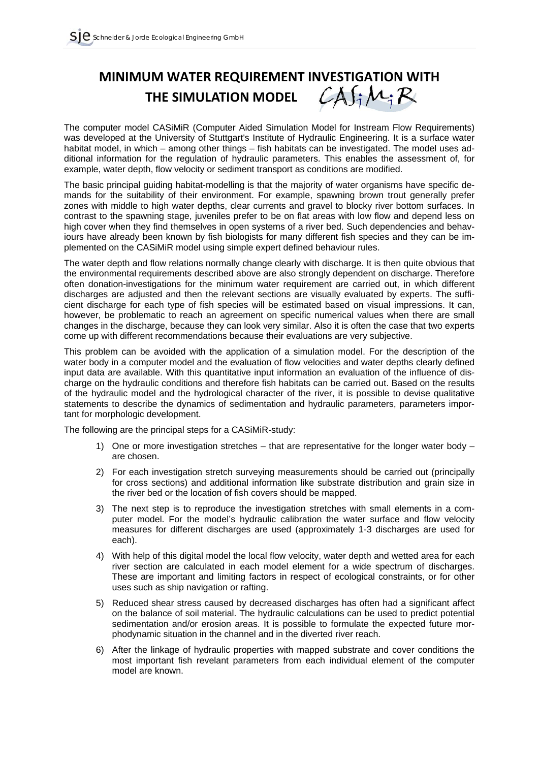## **MINIMUM WATER REQUIREMENT INVESTIGATION WITH**<br>THE SIMULATION MODEL  $\mathcal{LA}f_i \mathcal{M}_i \mathcal{R}$ **THE SIMULATION MODEL .**

The computer model CASiMiR (Computer Aided Simulation Model for Instream Flow Requirements) was developed at the University of Stuttgart's Institute of Hydraulic Engineering. It is a surface water habitat model, in which – among other things – fish habitats can be investigated. The model uses additional information for the regulation of hydraulic parameters. This enables the assessment of, for example, water depth, flow velocity or sediment transport as conditions are modified.

The basic principal guiding habitat-modelling is that the majority of water organisms have specific demands for the suitability of their environment. For example, spawning brown trout generally prefer zones with middle to high water depths, clear currents and gravel to blocky river bottom surfaces. In contrast to the spawning stage, juveniles prefer to be on flat areas with low flow and depend less on high cover when they find themselves in open systems of a river bed. Such dependencies and behaviours have already been known by fish biologists for many different fish species and they can be implemented on the CASiMiR model using simple expert defined behaviour rules.

The water depth and flow relations normally change clearly with discharge. It is then quite obvious that the environmental requirements described above are also strongly dependent on discharge. Therefore often donation-investigations for the minimum water requirement are carried out, in which different discharges are adjusted and then the relevant sections are visually evaluated by experts. The sufficient discharge for each type of fish species will be estimated based on visual impressions. It can, however, be problematic to reach an agreement on specific numerical values when there are small changes in the discharge, because they can look very similar. Also it is often the case that two experts come up with different recommendations because their evaluations are very subjective.

This problem can be avoided with the application of a simulation model. For the description of the water body in a computer model and the evaluation of flow velocities and water depths clearly defined input data are available. With this quantitative input information an evaluation of the influence of discharge on the hydraulic conditions and therefore fish habitats can be carried out. Based on the results of the hydraulic model and the hydrological character of the river, it is possible to devise qualitative statements to describe the dynamics of sedimentation and hydraulic parameters, parameters important for morphologic development.

The following are the principal steps for a CASiMiR-study:

- 1) One or more investigation stretches that are representative for the longer water body are chosen.
- 2) For each investigation stretch surveying measurements should be carried out (principally for cross sections) and additional information like substrate distribution and grain size in the river bed or the location of fish covers should be mapped.
- 3) The next step is to reproduce the investigation stretches with small elements in a computer model. For the model's hydraulic calibration the water surface and flow velocity measures for different discharges are used (approximately 1-3 discharges are used for each).
- 4) With help of this digital model the local flow velocity, water depth and wetted area for each river section are calculated in each model element for a wide spectrum of discharges. These are important and limiting factors in respect of ecological constraints, or for other uses such as ship navigation or rafting.
- 5) Reduced shear stress caused by decreased discharges has often had a significant affect on the balance of soil material. The hydraulic calculations can be used to predict potential sedimentation and/or erosion areas. It is possible to formulate the expected future morphodynamic situation in the channel and in the diverted river reach.
- 6) After the linkage of hydraulic properties with mapped substrate and cover conditions the most important fish revelant parameters from each individual element of the computer model are known.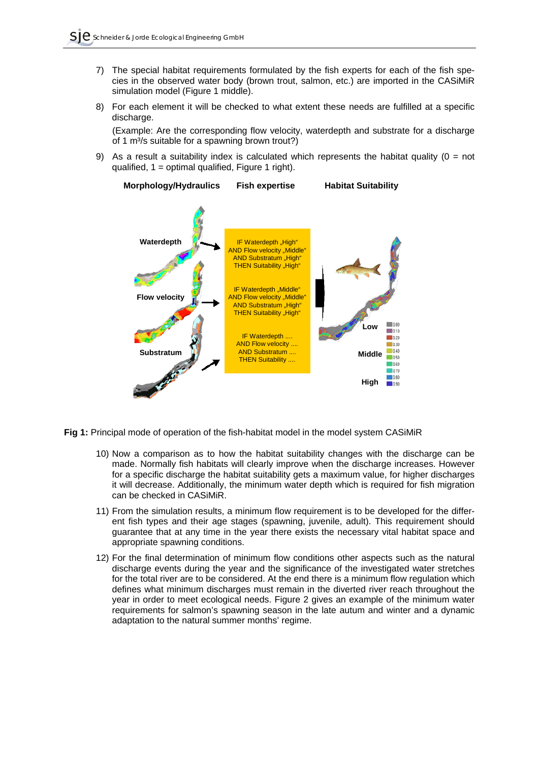- 7) The special habitat requirements formulated by the fish experts for each of the fish species in the observed water body (brown trout, salmon, etc.) are imported in the CASiMiR simulation model (Figure 1 middle).
- 8) For each element it will be checked to what extent these needs are fulfilled at a specific discharge.

(Example: Are the corresponding flow velocity, waterdepth and substrate for a discharge of 1 m<sup>3</sup>/s suitable for a spawning brown trout?)

9) As a result a suitability index is calculated which represents the habitat quality ( $0 = not$ ) qualified,  $1 =$  optimal qualified, Figure 1 right).





**Fig 1:** Principal mode of operation of the fish-habitat model in the model system CASiMiR

- 10) Now a comparison as to how the habitat suitability changes with the discharge can be made. Normally fish habitats will clearly improve when the discharge increases. However for a specific discharge the habitat suitability gets a maximum value, for higher discharges it will decrease. Additionally, the minimum water depth which is required for fish migration can be checked in CASiMiR.
- 11) From the simulation results, a minimum flow requirement is to be developed for the different fish types and their age stages (spawning, juvenile, adult). This requirement should guarantee that at any time in the year there exists the necessary vital habitat space and appropriate spawning conditions.
- 12) For the final determination of minimum flow conditions other aspects such as the natural discharge events during the year and the significance of the investigated water stretches for the total river are to be considered. At the end there is a minimum flow regulation which defines what minimum discharges must remain in the diverted river reach throughout the year in order to meet ecological needs. Figure 2 gives an example of the minimum water requirements for salmon's spawning season in the late autum and winter and a dynamic adaptation to the natural summer months' regime.